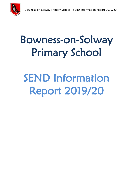

# Bowness-on-Solway Primary School

# SEND Information Report 2019/20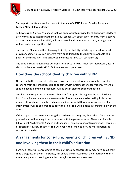

This report is written in conjunction with the school's SEND Policy, Equality Policy and Looked After Children's Policy.

At Bowness-on-Solway Primary School, we endeavour to provide for children with SEND and are committed to integrating them into our school. Any application for entry from a parent or carer, where a child has SEND, will be assessed and, wherever practical, arrangements will be made to accept the child.

'A pupil has SEN where their learning difficulty or disability calls for special educational provision, namely provision different from or additional to that normally available to all pupils of the same age.' (DfE SEND Code of Practice July 2014, section 6.15)

The Special Educational Needs Co-ordinator (SENCo) is Mrs. Kimberley Thompson. (Please visit or call school on 016973 51384 to make an appointment).

#### **How does the school identify children with SEN?**

On entry into the school, all children are assessed using information from the parent or carer and from any previous settings, together with initial teacher observations. Where a special need is identified, procedures will be put in place to support that child.

Teachers and support staff monitor all children's progress throughout the year by doing both formative and summative assessments. If a child appears to be making little or no progress through high quality teaching, including normal differentiation, other suitable interventions will be explored to support the child. This will be done in consultation with the SENCo.

If these approaches are not allowing the child to make progress, then advice from relevant professionals will be sought in consultation with the parent or carer. These may include Educational Psychologists, Speech and Language Therapists and/or Occupational Therapists or Specialist Advisory Teachers. This will enable the school to provide more specialised support for the child.

#### **Arrangements for consulting parents of children with SEND and involving them in their child's education:**

Parents or carers are encouraged to communicate any concerns they may have about their child's progress. In the first instance, this should be discussed with their teacher, either in the termly parents' meeting or earlier through a separate appointment.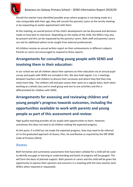

Should the teacher have identified possible areas where progress is not being made at a rate comparable with their age, they will consult the parents/ carers at the termly meeting or by requesting an earlier appointment with them.

At the meeting, an overall picture of the child's development can be discussed and decisions made on how best to intervene. Depending on the needs of the child, the SENCo may also be present and this can be requested by the parents/ carers. Both staff and parents/ carers can ask for additional advice to be sought from external professionals.

All children receive an annual written report on their achievements in different subjects. Parents or carers are encouraged to respond to these reports.

## **Arrangements for consulting young people with SEND and involving them in their education:**

In our school we ask all children about their opinions on their education via an annual pupil survey and pupils with SEND are included in this. We also hold regular 1 to 1 meetings between teachers and children to discuss their successes and where they feel they may need more help. The children self and peer assess their work on a regular basis, both when working as a whole class and in small group and one to one activities and this is differentiated for children with SEND.

**Arrangements for assessing and reviewing children and young people's progress towards outcomes, including the opportunities available to work with parents and young people as part of this assessment and review:**

High quality teaching provides all our pupils with opportunities to learn. However, sometimes this does not lead to all children making the expected progress.

At this point, if a child has not made the expected progress, they may need to be referred on to the graduated approach of Assess, Plan, Do and Review as required by the DfE SEND Code of Practice (2014).

#### **Assess**

Both formative and summative assessments that have been collated for a child will be used to identify any gaps in learning or understanding and levels of progress will be gauged. This will form the basis of planned support. Both parents or carers and the child will be given the opportunity to express their opinions and concerns in a meeting with the class teacher (and SENCo when required or requested).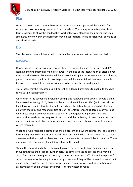

Using the assessment, the suitable interventions and other support will be planned for within the classroom using resources from the school. These may include targeted short term programs to allow the child to then work effectively alongside their peers. The use of small group work within the classroom may be appropriate. These decisions will be made on an individual basis.

#### **Do**

The planned actions will be carried out within the time-frame that has been decided.

#### **Review**

During and after the interventions are in place, the impact they are having on the child's learning and understanding will be reviewed. At the end of the intervention or after a given time period, the overall outcomes will be assessed and a joint decision made with both staff, parents/ carers and pupils as to how to proceed will be made. Adjustments can be made to the plans as required if they are proving not to be having the desired impact.

This process may be repeated using different or extended provisions to enable to the child to make significant progress.

All children in the school are involved in setting and reviewing their targets. Should a child be assessed as having SEND, there may be an Individual Education Plan (which we call the Pupil Passport) put in place for them. In our school, this takes the form of a child friendly plan with the roles and responsibilities of staff, parents/carers and children clearly set out. All of these people are encouraged to be part of the target setting process, making contributions to show the progress of the child and the reviewing of them once a term in a parent/ pupil and staff structured review meeting. These can take place more frequently where required.

When the Pupil Passport is drafted the child is present and, where appropriate, takes part in formulating their own targets and records them on an individual target sheet. The teacher discusses with them their achievements and the elements they would like to improve. These may cover different areas of need depending on the pupil.

Should the support and interventions put in place be seen not to have an impact and it is thought that the child requires further help, the advice of outside professionals may be asked for. This can be requested both by parents or carers and staff, although the parent/ carer's consent must be sought before this proceeds and they will be required to have input on an Early Help Assessment form. Outside agencies may not carry out observations and assessments on pupils without the parents/ carers written consent.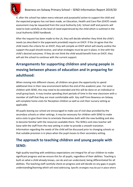

If, after the school has taken every relevant and purposeful action to support the child and the expected progress has not been made, an Education, Health and Care Plan (EHCP) needs assessment may be requested from the Local Authority (LA). School staff and parents will need to look carefully at the level of need experienced by the child which is outlined in the Local Authority SEND handbook. .

After the request has been made to the LA, they will decide whether they think the child's needs (as described in the paperwork provided) require an EHCP. If the LA agree that the child meets the criteria for an EHCP, they will compile an EHCP which will clearly outline the support the pupil should receive, and what strategies must be put in place, in line with the child's desired outcomes. If they do not think the child would benefit from an EHCP, they will ask the school to continue with the current support.

# **Arrangements for supporting children and young people in moving between phases of education and in preparing for adulthood:**

When moving into different classes, all children are given the opportunity to spend additional time in their new environment before the end of the academic year. For some children with SEND, this may need to be extended and this will be done on an individual or small group basis. It may involve spending short periods of time in the new classroom with a member of staff that they are most comfortable with. Key staff from Bowness-on-Solway will complete home visits for Reception children as well as visit their nursery setting as applicable.

All pupils leaving our school are encouraged to make use of visit days provided by the secondary schools or other settings. It may be necessary for children with SEND to make extra visits to give them time to orientate themselves both with the new building and also to become familiar with the resources available there. The SENCo and class teacher will liaise with the staff from the new setting in order to provide a smooth transition. Information regarding the needs of the child will be discussed prior to changing schools so that suitable provision is in place when the pupil moves to their secondary setting.

## **The approach to teaching children and young people with SEND:**

High quality teaching with ambitious expectations are integral for all our children to make significant progress and we ensure this for all pupils, regardless of their abilities. Teaching is built on what a child already knows, can do and can understand, being differentiated for all abilities. The teaching staff carefully check on progress and will decide on any gaps in pupils understanding/learning which will need addressing. Specific strategies may be put in place where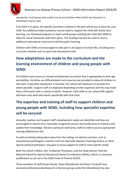

appropriate. Small group work and/or one to one activities either within the classroom or withdrawal may be used.

If an EHCP is in place, the specific provisions outlined in the plan will be put in place for your child. Any additional adult assistance may be used to support the child with whole class learning, run individual programs or teach small groups including the child with SEND to allow for social interaction with their peers. The funding may also be used to source additional educational resources to aid the pupil's learning.

Children with SEND are encouraged to take part in all aspects of school life, including extracurricular activities such as sport and educational visits.

# **How adaptations are made to the curriculum and the learning environment of children and young people with SEND:**

All children have access to a broad and balanced curriculum that is appropriate to their age and abilities. Activities are differentiated and resources are provided to allow all children to take part. If specialist equipment is required, the school will endeavour to provide this where possible. Support staff are deployed depending on their expertise and this may mean that a child works with a variety of adults. However, each child on our school SEN register will have a key adult who works specifically with that child.

# **The expertise and training of staff to support children and young people with SEND, including how specialist expertise will be secured:**

Annually, teachers and support staff's development needs are identified and they are encouraged to attend LA or nationally recognised courses and conferences to enhance and update their knowledge. Should a particular need arise, staff are able to access appropriate training additional to this.

As well as training taking place away from the setting, LA advisory services, such as educational psychologists, teachers from the Specialist Advisory Teaching Service or other special needs practitioners, may give in house support to staff to meet specific needs.

Both the school's SENCo, Mrs. Kimberley Thompson, and the Head teacher hold the National Award for Special Educational Needs Co-ordinators (NASC), which is a statutory qualification as set out in the SEND Code of Practice (2014).

Three members of staff (Susan Davies, Diane Misselbrook and Elaine Turnbull) have accessed professional development in Nurture groups while Mrs Misselbrook has also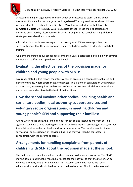#### Bowness-on-Solway Primary School – SEND Information Report 2019/20

accessed training on Lego Based Therapy, which she cascaded to staff. On a Monday afternoon, Elaine holds nurture group and Lego based Therapy sessions for those children we have identified as likely to benefit. Mrs. Misselbrook and Mrs Turnbull have also completed Kidsafe UK training. We are a Kidsafe school. These training sessions are delivered on a Tuesday afternoon to all classes throughout the school, teaching children strategies to enable them to be safe.

All children in school are encouraged to talk to any adult if they have a problem, but specifically know that they can approach their 'Trusted Grown Ups' as identified in Kidsafe training.

All members of staff at our school have completed Level 1 safeguarding training with several members of staff trained up to level 2 and level 3.

### **Evaluating the effectiveness of the provision made for children and young people with SEND:**

As already stated in this report, the effectiveness of provision is continually evaluated and either continued, where appropriate, or changed. This is done in consultation with parents or carers and, where required, with other professionals. We want all children to be able to make progress and achieve to the best of their abilities.

**How the school involves other bodies, including health and social care bodies, local authority support services and voluntary sector organisations, in meeting children and young people's SEN and supporting their families:**

As and when needs arise, the school can ask for advice and interventions from outside agencies. We have a good working relationship with educational psychology service, various therapist services and other health and social care services. The requirement for these services will be assessed on an individual basis and they will then be contacted, in consultation with the parents or carers.

#### **Arrangements for handling complaints from parents of children with SEN about the provision made at the school:**

The first point of contact should be the class teacher, to discuss any concerns. The SENCo may be asked to attend this meeting, or asked for their advice, so that the matter can be resolved promptly. If it is not dealt with satisfactorily, complaints about the special educational provision should be directed to the head teacher. Should the issue remain